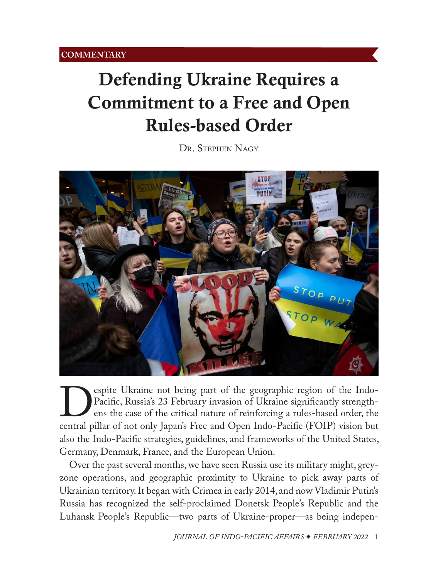## <span id="page-0-0"></span>Defending Ukraine Requires a Commitment to a Free and Open Rules-based Order

DR. STEPHEN NAGY



**Despite Ukraine not being part of the geographic region of the Indo-**<br>Pacific, Russia's 23 February invasion of Ukraine significantly strength-<br>entral pillar of not only Japan's Free and Open Indo-Pacific (FOIP) vision bu Pacific, Russia's 23 February invasion of Ukraine significantly strengthens the case of the critical nature of reinforcing a rules-based order, the also the Indo-Pacific strategies, guidelines, and frameworks of the United States, Germany, Denmark, France, and the European Union.

Over the past several months, we have seen Russia use its military might, greyzone operations, and geographic proximity to Ukraine to pick away parts of Ukrainian territory. It began with Crimea in early 2014, and now Vladimir Putin's Russia has recognized the self-proclaimed Donetsk People's Republic and the Luhansk People's Republic—two parts of Ukraine-proper—as being indepen-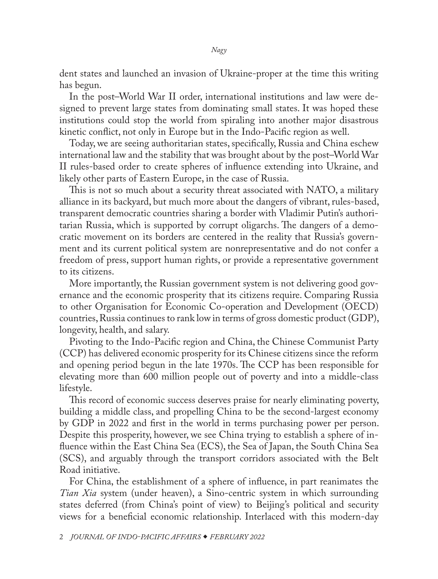dent states and launched an invasion of Ukraine-proper at the time this writing has begun.

In the post–World War II order, international institutions and law were designed to prevent large states from dominating small states. It was hoped these institutions could stop the world from spiraling into another major disastrous kinetic conflict, not only in Europe but in the Indo-Pacific region as well.

Today, we are seeing authoritarian states, specifically, Russia and China eschew international law and the stability that was brought about by the post–World War II rules-based order to create spheres of influence extending into Ukraine, and likely other parts of Eastern Europe, in the case of Russia.

This is not so much about a security threat associated with NATO, a military alliance in its backyard, but much more about the dangers of vibrant, rules-based, transparent democratic countries sharing a border with Vladimir Putin's authoritarian Russia, which is supported by corrupt oligarchs. The dangers of a democratic movement on its borders are centered in the reality that Russia's government and its current political system are nonrepresentative and do not confer a freedom of press, support human rights, or provide a representative government to its citizens.

More importantly, the Russian government system is not delivering good governance and the economic prosperity that its citizens require. Comparing Russia to other Organisation for Economic Co-operation and Development (OECD) countries, Russia continues to rank low in terms of gross domestic product (GDP), longevity, health, and salary.

Pivoting to the Indo-Pacific region and China, the Chinese Communist Party (CCP) has delivered economic prosperity for its Chinese citizens since the reform and opening period begun in the late 1970s. The CCP has been responsible for elevating more than 600 million people out of poverty and into a middle-class lifestyle.

This record of economic success deserves praise for nearly eliminating poverty, building a middle class, and propelling China to be the second-largest economy by GDP in 2022 and first in the world in terms purchasing power per person. Despite this prosperity, however, we see China trying to establish a sphere of influence within the East China Sea (ECS), the Sea of Japan, the South China Sea (SCS), and arguably through the transport corridors associated with the Belt Road initiative.

For China, the establishment of a sphere of influence, in part reanimates the *Tian Xia* system (under heaven), a Sino-centric system in which surrounding states deferred (from China's point of view) to Beijing's political and security views for a beneficial economic relationship. Interlaced with this modern-day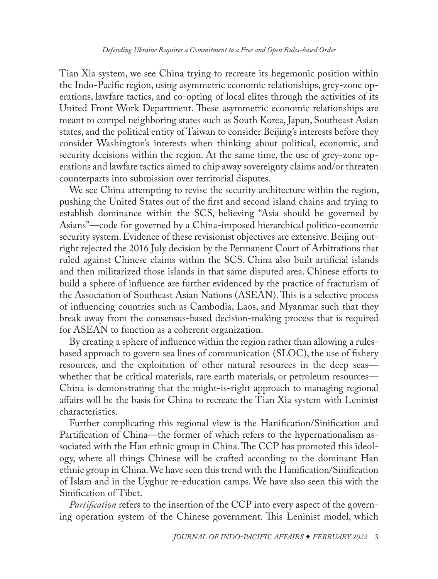Tian Xia system, we see China trying to recreate its hegemonic position within the Indo-Pacific region, using asymmetric economic relationships, grey-zone operations, lawfare tactics, and co-opting of local elites through the activities of its United Front Work Department. These asymmetric economic relationships are meant to compel neighboring states such as South Korea, Japan, Southeast Asian states, and the political entity of Taiwan to consider Beijing's interests before they consider Washington's interests when thinking about political, economic, and security decisions within the region. At the same time, the use of grey-zone operations and lawfare tactics aimed to chip away sovereignty claims and/or threaten counterparts into submission over territorial disputes.

We see China attempting to revise the security architecture within the region, pushing the United States out of the first and second island chains and trying to establish dominance within the SCS, believing "Asia should be governed by Asians"—code for governed by a China-imposed hierarchical politico-economic security system. Evidence of these revisionist objectives are extensive. Beijing outright rejected the 2016 July decision by the Permanent Court of Arbitrations that ruled against Chinese claims within the SCS. China also built artificial islands and then militarized those islands in that same disputed area. Chinese efforts to build a sphere of influence are further evidenced by the practice of fracturism of the Association of Southeast Asian Nations (ASEAN). This is a selective process of influencing countries such as Cambodia, Laos, and Myanmar such that they break away from the consensus-based decision-making process that is required for ASEAN to function as a coherent organization.

By creating a sphere of influence within the region rather than allowing a rulesbased approach to govern sea lines of communication (SLOC), the use of fishery resources, and the exploitation of other natural resources in the deep seas whether that be critical materials, rare earth materials, or petroleum resources— China is demonstrating that the might-is-right approach to managing regional affairs will be the basis for China to recreate the Tian Xia system with Leninist characteristics.

Further complicating this regional view is the Hanification/Sinification and Partification of China—the former of which refers to the hypernationalism associated with the Han ethnic group in China. The CCP has promoted this ideology, where all things Chinese will be crafted according to the dominant Han ethnic group in China. We have seen this trend with the Hanification/Sinification of Islam and in the Uyghur re-education camps. We have also seen this with the Sinification of Tibet.

*Partification* refers to the insertion of the CCP into every aspect of the governing operation system of the Chinese government. This Leninist model, which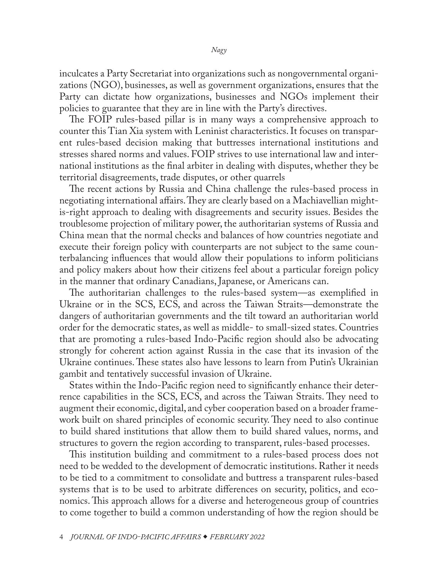inculcates a Party Secretariat into organizations such as nongovernmental organizations (NGO), businesses, as well as government organizations, ensures that the Party can dictate how organizations, businesses and NGOs implement their policies to guarantee that they are in line with the Party's directives.

The FOIP rules-based pillar is in many ways a comprehensive approach to counter this Tian Xia system with Leninist characteristics. It focuses on transparent rules-based decision making that buttresses international institutions and stresses shared norms and values. FOIP strives to use international law and international institutions as the final arbiter in dealing with disputes, whether they be territorial disagreements, trade disputes, or other quarrels

The recent actions by Russia and China challenge the rules-based process in negotiating international affairs. They are clearly based on a Machiavellian mightis-right approach to dealing with disagreements and security issues. Besides the troublesome projection of military power, the authoritarian systems of Russia and China mean that the normal checks and balances of how countries negotiate and execute their foreign policy with counterparts are not subject to the same counterbalancing influences that would allow their populations to inform politicians and policy makers about how their citizens feel about a particular foreign policy in the manner that ordinary Canadians, Japanese, or Americans can.

The authoritarian challenges to the rules-based system—as exemplified in Ukraine or in the SCS, ECS, and across the Taiwan Straits—demonstrate the dangers of authoritarian governments and the tilt toward an authoritarian world order for the democratic states, as well as middle- to small-sized states. Countries that are promoting a rules-based Indo-Pacific region should also be advocating strongly for coherent action against Russia in the case that its invasion of the Ukraine continues. These states also have lessons to learn from Putin's Ukrainian gambit and tentatively successful invasion of Ukraine.

States within the Indo-Pacific region need to significantly enhance their deterrence capabilities in the SCS, ECS, and across the Taiwan Straits. They need to augment their economic, digital, and cyber cooperation based on a broader framework built on shared principles of economic security. They need to also continue to build shared institutions that allow them to build shared values, norms, and structures to govern the region according to transparent, rules-based processes.

This institution building and commitment to a rules-based process does not need to be wedded to the development of democratic institutions. Rather it needs to be tied to a commitment to consolidate and buttress a transparent rules-based systems that is to be used to arbitrate differences on security, politics, and economics. This approach allows for a diverse and heterogeneous group of countries to come together to build a common understanding of how the region should be